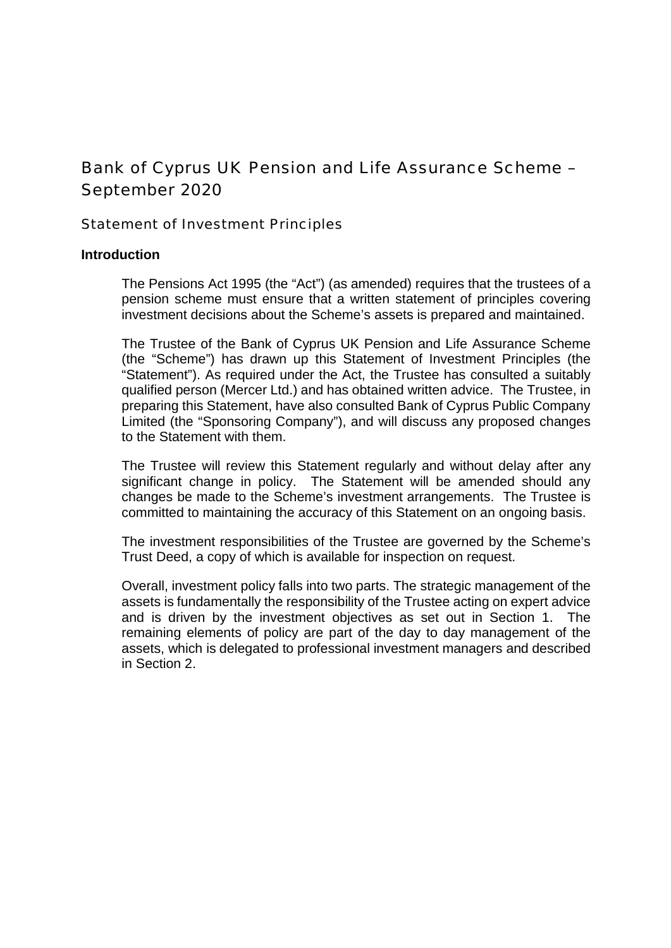# Bank of Cyprus UK Pension and Life Assurance Scheme – September 2020

Statement of Investment Principles

# **Introduction**

The Pensions Act 1995 (the "Act") (as amended) requires that the trustees of a pension scheme must ensure that a written statement of principles covering investment decisions about the Scheme's assets is prepared and maintained.

The Trustee of the Bank of Cyprus UK Pension and Life Assurance Scheme (the "Scheme") has drawn up this Statement of Investment Principles (the "Statement"). As required under the Act, the Trustee has consulted a suitably qualified person (Mercer Ltd.) and has obtained written advice. The Trustee, in preparing this Statement, have also consulted Bank of Cyprus Public Company Limited (the "Sponsoring Company"), and will discuss any proposed changes to the Statement with them.

The Trustee will review this Statement regularly and without delay after any significant change in policy. The Statement will be amended should any changes be made to the Scheme's investment arrangements. The Trustee is committed to maintaining the accuracy of this Statement on an ongoing basis.

The investment responsibilities of the Trustee are governed by the Scheme's Trust Deed, a copy of which is available for inspection on request.

Overall, investment policy falls into two parts. The strategic management of the assets is fundamentally the responsibility of the Trustee acting on expert advice and is driven by the investment objectives as set out in Section 1. The remaining elements of policy are part of the day to day management of the assets, which is delegated to professional investment managers and described in Section 2.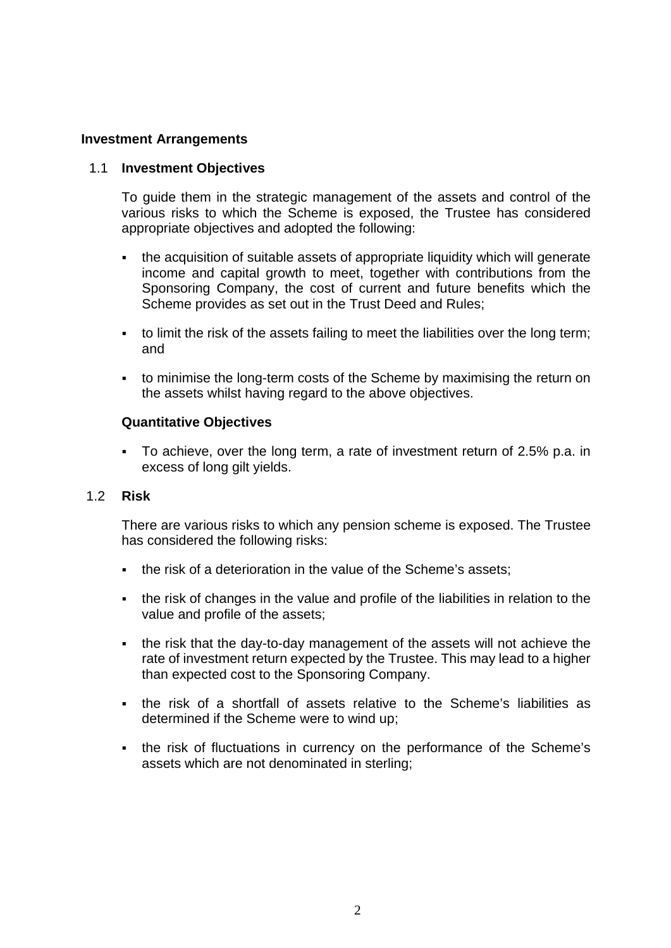# **Investment Arrangements**

## 1.1 **Investment Objectives**

To guide them in the strategic management of the assets and control of the various risks to which the Scheme is exposed, the Trustee has considered appropriate objectives and adopted the following:

- the acquisition of suitable assets of appropriate liquidity which will generate income and capital growth to meet, together with contributions from the Sponsoring Company, the cost of current and future benefits which the Scheme provides as set out in the Trust Deed and Rules;
- to limit the risk of the assets failing to meet the liabilities over the long term; and
- to minimise the long-term costs of the Scheme by maximising the return on the assets whilst having regard to the above objectives.

## **Quantitative Objectives**

 To achieve, over the long term, a rate of investment return of 2.5% p.a. in excess of long gilt yields.

## 1.2 **Risk**

There are various risks to which any pension scheme is exposed. The Trustee has considered the following risks:

- the risk of a deterioration in the value of the Scheme's assets;
- the risk of changes in the value and profile of the liabilities in relation to the value and profile of the assets;
- the risk that the day-to-day management of the assets will not achieve the rate of investment return expected by the Trustee. This may lead to a higher than expected cost to the Sponsoring Company.
- the risk of a shortfall of assets relative to the Scheme's liabilities as determined if the Scheme were to wind up;
- the risk of fluctuations in currency on the performance of the Scheme's assets which are not denominated in sterling;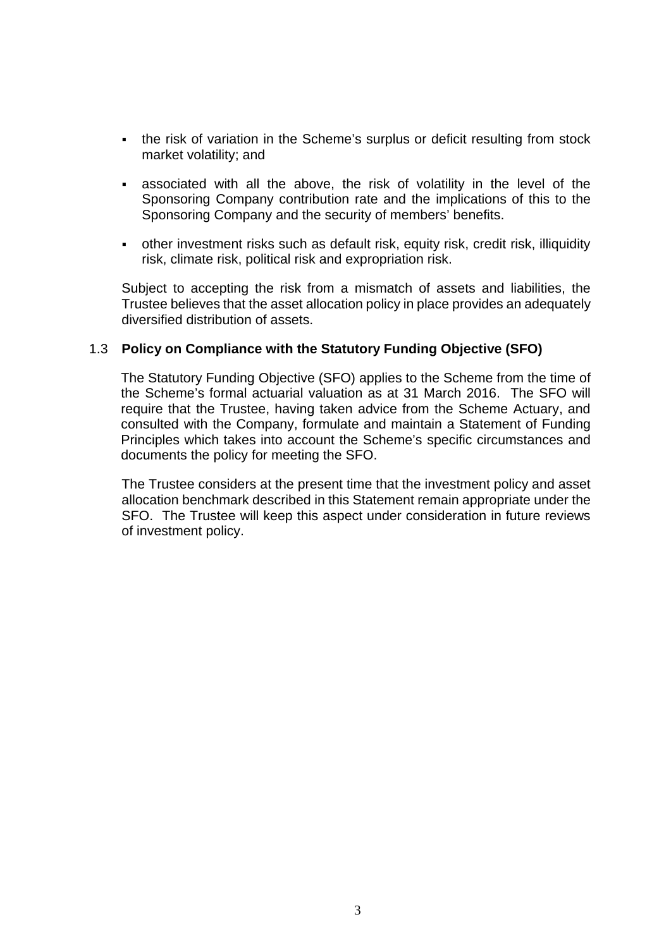- the risk of variation in the Scheme's surplus or deficit resulting from stock market volatility; and
- associated with all the above, the risk of volatility in the level of the Sponsoring Company contribution rate and the implications of this to the Sponsoring Company and the security of members' benefits.
- other investment risks such as default risk, equity risk, credit risk, illiquidity risk, climate risk, political risk and expropriation risk.

Subject to accepting the risk from a mismatch of assets and liabilities, the Trustee believes that the asset allocation policy in place provides an adequately diversified distribution of assets.

# 1.3 **Policy on Compliance with the Statutory Funding Objective (SFO)**

The Statutory Funding Objective (SFO) applies to the Scheme from the time of the Scheme's formal actuarial valuation as at 31 March 2016. The SFO will require that the Trustee, having taken advice from the Scheme Actuary, and consulted with the Company, formulate and maintain a Statement of Funding Principles which takes into account the Scheme's specific circumstances and documents the policy for meeting the SFO.

The Trustee considers at the present time that the investment policy and asset allocation benchmark described in this Statement remain appropriate under the SFO. The Trustee will keep this aspect under consideration in future reviews of investment policy.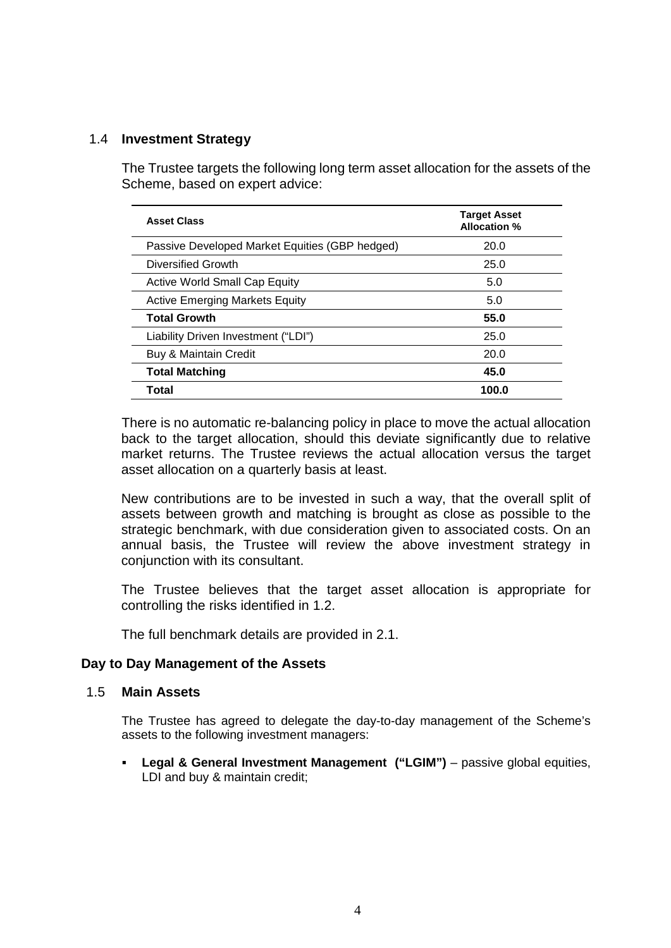# 1.4 **Investment Strategy**

The Trustee targets the following long term asset allocation for the assets of the Scheme, based on expert advice:

| <b>Asset Class</b>                             | <b>Target Asset</b><br><b>Allocation %</b> |
|------------------------------------------------|--------------------------------------------|
| Passive Developed Market Equities (GBP hedged) | 20.0                                       |
| Diversified Growth                             | 25.0                                       |
| <b>Active World Small Cap Equity</b>           | 5.0                                        |
| <b>Active Emerging Markets Equity</b>          | 5.0                                        |
| <b>Total Growth</b>                            | 55.0                                       |
| Liability Driven Investment ("LDI")            | 25.0                                       |
| Buy & Maintain Credit                          | 20.0                                       |
| <b>Total Matching</b>                          | 45.0                                       |
| Total                                          | 100.0                                      |

There is no automatic re-balancing policy in place to move the actual allocation back to the target allocation, should this deviate significantly due to relative market returns. The Trustee reviews the actual allocation versus the target asset allocation on a quarterly basis at least.

New contributions are to be invested in such a way, that the overall split of assets between growth and matching is brought as close as possible to the strategic benchmark, with due consideration given to associated costs. On an annual basis, the Trustee will review the above investment strategy in conjunction with its consultant.

The Trustee believes that the target asset allocation is appropriate for controlling the risks identified in 1.2.

The full benchmark details are provided in 2.1.

## **Day to Day Management of the Assets**

## 1.5 **Main Assets**

The Trustee has agreed to delegate the day-to-day management of the Scheme's assets to the following investment managers:

 **Legal & General Investment Management ("LGIM")** – passive global equities, LDI and buy & maintain credit;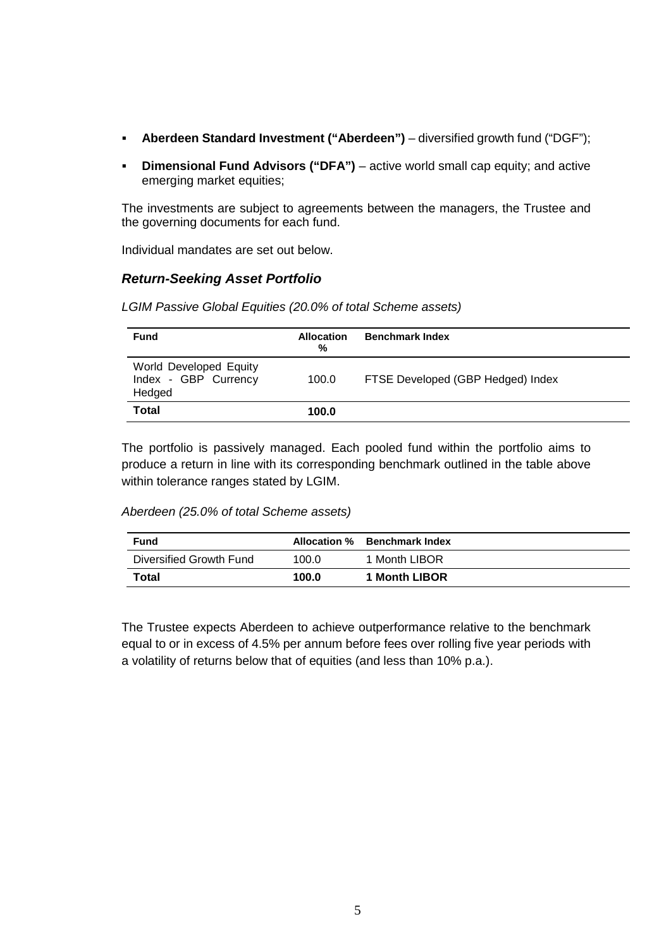- **Aberdeen Standard Investment ("Aberdeen")** diversified growth fund ("DGF");
- **Dimensional Fund Advisors ("DFA")** active world small cap equity; and active emerging market equities;

The investments are subject to agreements between the managers, the Trustee and the governing documents for each fund.

Individual mandates are set out below.

## *Return-Seeking Asset Portfolio*

| <b>Fund</b>                                              | <b>Allocation</b><br>% | <b>Benchmark Index</b>            |
|----------------------------------------------------------|------------------------|-----------------------------------|
| World Developed Equity<br>Index - GBP Currency<br>Hedged | 100.0                  | FTSE Developed (GBP Hedged) Index |
| Total                                                    | 100.0                  |                                   |

*LGIM Passive Global Equities (20.0% of total Scheme assets)*

The portfolio is passively managed. Each pooled fund within the portfolio aims to produce a return in line with its corresponding benchmark outlined in the table above within tolerance ranges stated by LGIM.

## *Aberdeen (25.0% of total Scheme assets)*

| <b>Fund</b>             |       | Allocation % Benchmark Index |
|-------------------------|-------|------------------------------|
| Diversified Growth Fund | 100.0 | 1 Month LIBOR                |
| <b>Total</b>            | 100.0 | 1 Month LIBOR                |

The Trustee expects Aberdeen to achieve outperformance relative to the benchmark equal to or in excess of 4.5% per annum before fees over rolling five year periods with a volatility of returns below that of equities (and less than 10% p.a.).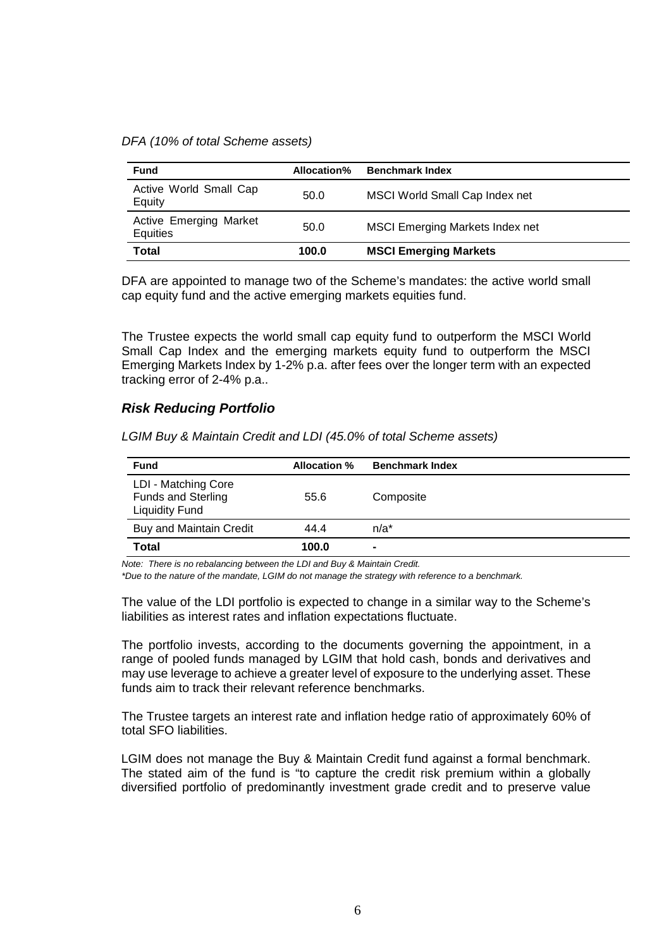*DFA (10% of total Scheme assets)*

| <b>Fund</b>                               | Allocation% | <b>Benchmark Index</b>                 |
|-------------------------------------------|-------------|----------------------------------------|
| Active World Small Cap<br>Equity          | 50.0        | MSCI World Small Cap Index net         |
| <b>Active Emerging Market</b><br>Equities | 50.0        | <b>MSCI Emerging Markets Index net</b> |
| Total                                     | 100.0       | <b>MSCI Emerging Markets</b>           |

DFA are appointed to manage two of the Scheme's mandates: the active world small cap equity fund and the active emerging markets equities fund.

The Trustee expects the world small cap equity fund to outperform the MSCI World Small Cap Index and the emerging markets equity fund to outperform the MSCI Emerging Markets Index by 1-2% p.a. after fees over the longer term with an expected tracking error of 2-4% p.a..

## *Risk Reducing Portfolio*

| LGIM Buy & Maintain Credit and LDI (45.0% of total Scheme assets) |  |
|-------------------------------------------------------------------|--|
|-------------------------------------------------------------------|--|

| <b>Fund</b>                                                               | Allocation % | <b>Benchmark Index</b> |
|---------------------------------------------------------------------------|--------------|------------------------|
| LDI - Matching Core<br><b>Funds and Sterling</b><br><b>Liquidity Fund</b> | 55.6         | Composite              |
| <b>Buy and Maintain Credit</b>                                            | 44.4         | $n/a^*$                |
| Total                                                                     | 100.0        | $\blacksquare$         |

*Note: There is no rebalancing between the LDI and Buy & Maintain Credit.*

*\*Due to the nature of the mandate, LGIM do not manage the strategy with reference to a benchmark.*

The value of the LDI portfolio is expected to change in a similar way to the Scheme's liabilities as interest rates and inflation expectations fluctuate.

The portfolio invests, according to the documents governing the appointment, in a range of pooled funds managed by LGIM that hold cash, bonds and derivatives and may use leverage to achieve a greater level of exposure to the underlying asset. These funds aim to track their relevant reference benchmarks.

The Trustee targets an interest rate and inflation hedge ratio of approximately 60% of total SFO liabilities.

LGIM does not manage the Buy & Maintain Credit fund against a formal benchmark. The stated aim of the fund is "to capture the credit risk premium within a globally diversified portfolio of predominantly investment grade credit and to preserve value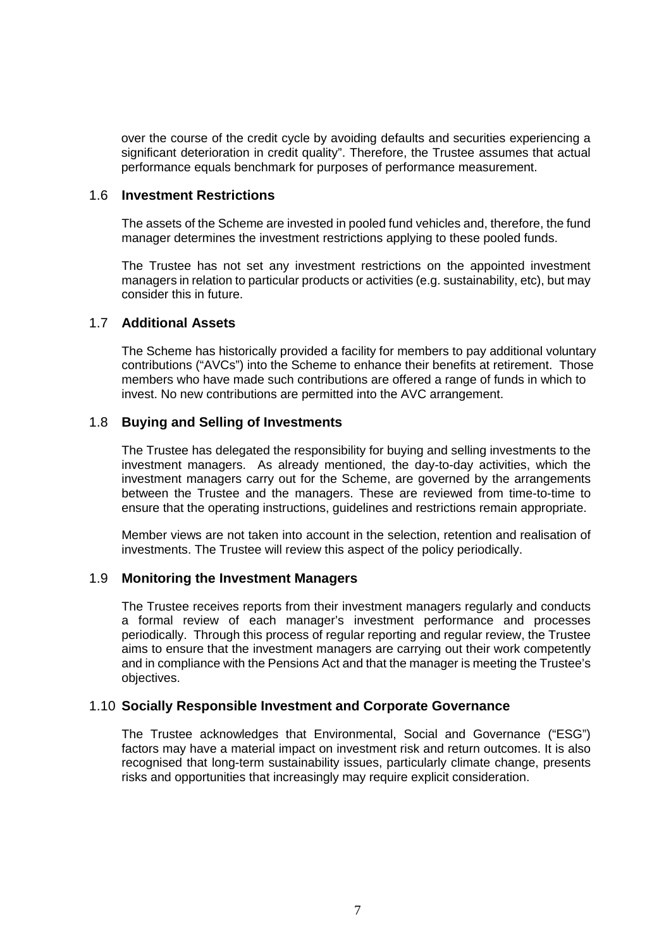over the course of the credit cycle by avoiding defaults and securities experiencing a significant deterioration in credit quality". Therefore, the Trustee assumes that actual performance equals benchmark for purposes of performance measurement.

#### 1.6 **Investment Restrictions**

The assets of the Scheme are invested in pooled fund vehicles and, therefore, the fund manager determines the investment restrictions applying to these pooled funds.

The Trustee has not set any investment restrictions on the appointed investment managers in relation to particular products or activities (e.g. sustainability, etc), but may consider this in future.

## 1.7 **Additional Assets**

The Scheme has historically provided a facility for members to pay additional voluntary contributions ("AVCs") into the Scheme to enhance their benefits at retirement. Those members who have made such contributions are offered a range of funds in which to invest. No new contributions are permitted into the AVC arrangement.

## 1.8 **Buying and Selling of Investments**

The Trustee has delegated the responsibility for buying and selling investments to the investment managers. As already mentioned, the day-to-day activities, which the investment managers carry out for the Scheme, are governed by the arrangements between the Trustee and the managers. These are reviewed from time-to-time to ensure that the operating instructions, guidelines and restrictions remain appropriate.

Member views are not taken into account in the selection, retention and realisation of investments. The Trustee will review this aspect of the policy periodically.

## 1.9 **Monitoring the Investment Managers**

The Trustee receives reports from their investment managers regularly and conducts a formal review of each manager's investment performance and processes periodically. Through this process of regular reporting and regular review, the Trustee aims to ensure that the investment managers are carrying out their work competently and in compliance with the Pensions Act and that the manager is meeting the Trustee's objectives.

## 1.10 **Socially Responsible Investment and Corporate Governance**

The Trustee acknowledges that Environmental, Social and Governance ("ESG") factors may have a material impact on investment risk and return outcomes. It is also recognised that long-term sustainability issues, particularly climate change, presents risks and opportunities that increasingly may require explicit consideration.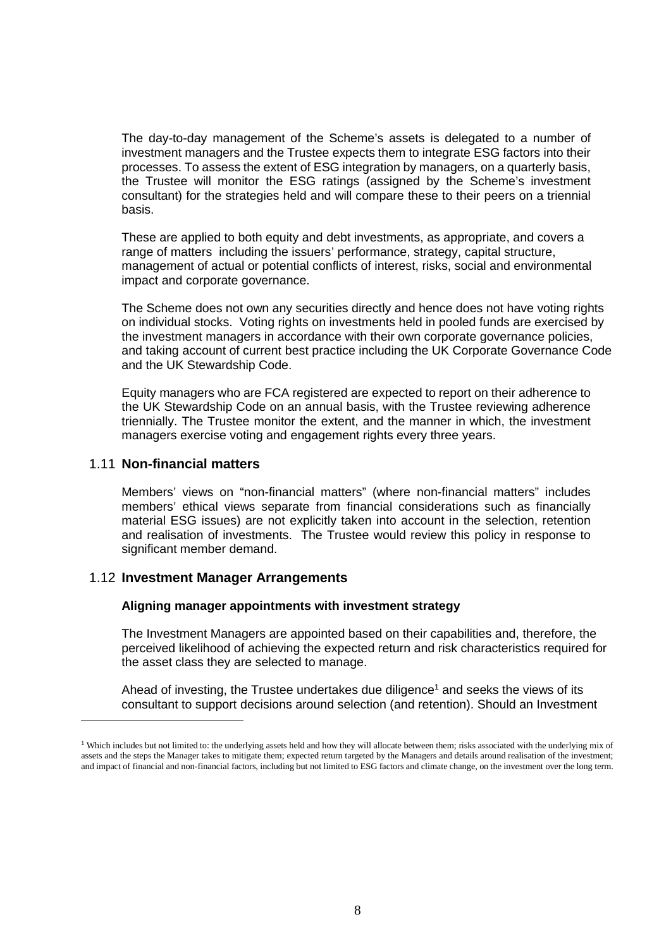The day-to-day management of the Scheme's assets is delegated to a number of investment managers and the Trustee expects them to integrate ESG factors into their processes. To assess the extent of ESG integration by managers, on a quarterly basis, the Trustee will monitor the ESG ratings (assigned by the Scheme's investment consultant) for the strategies held and will compare these to their peers on a triennial basis.

These are applied to both equity and debt investments, as appropriate, and covers a range of matters including the issuers' performance, strategy, capital structure, management of actual or potential conflicts of interest, risks, social and environmental impact and corporate governance.

The Scheme does not own any securities directly and hence does not have voting rights on individual stocks. Voting rights on investments held in pooled funds are exercised by the investment managers in accordance with their own corporate governance policies, and taking account of current best practice including the UK Corporate Governance Code and the UK Stewardship Code.

Equity managers who are FCA registered are expected to report on their adherence to the UK Stewardship Code on an annual basis, with the Trustee reviewing adherence triennially. The Trustee monitor the extent, and the manner in which, the investment managers exercise voting and engagement rights every three years.

## 1.11 **Non-financial matters**

Members' views on "non-financial matters" (where non-financial matters" includes members' ethical views separate from financial considerations such as financially material ESG issues) are not explicitly taken into account in the selection, retention and realisation of investments. The Trustee would review this policy in response to significant member demand.

## 1.12 **Investment Manager Arrangements**

## **Aligning manager appointments with investment strategy**

The Investment Managers are appointed based on their capabilities and, therefore, the perceived likelihood of achieving the expected return and risk characteristics required for the asset class they are selected to manage.

Ahead of investing, the Trustee undertakes due diligence<sup>[1](#page-7-0)</sup> and seeks the views of its consultant to support decisions around selection (and retention). Should an Investment

<span id="page-7-0"></span><sup>&</sup>lt;sup>1</sup> Which includes but not limited to: the underlying assets held and how they will allocate between them; risks associated with the underlying mix of assets and the steps the Manager takes to mitigate them; expected return targeted by the Managers and details around realisation of the investment; and impact of financial and non-financial factors, including but not limited to ESG factors and climate change, on the investment over the long term.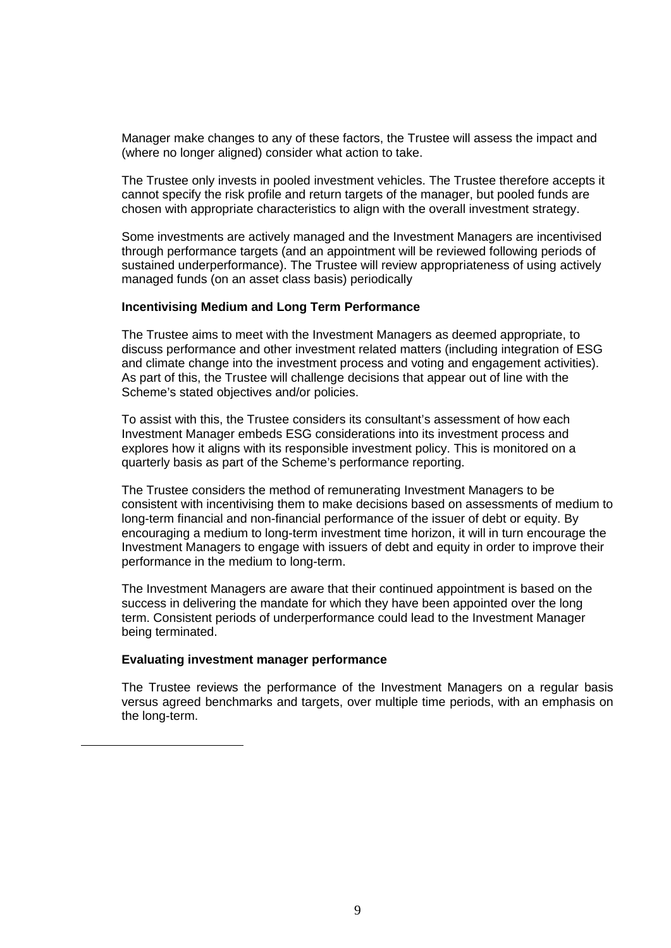Manager make changes to any of these factors, the Trustee will assess the impact and (where no longer aligned) consider what action to take.

The Trustee only invests in pooled investment vehicles. The Trustee therefore accepts it cannot specify the risk profile and return targets of the manager, but pooled funds are chosen with appropriate characteristics to align with the overall investment strategy.

Some investments are actively managed and the Investment Managers are incentivised through performance targets (and an appointment will be reviewed following periods of sustained underperformance). The Trustee will review appropriateness of using actively managed funds (on an asset class basis) periodically

#### **Incentivising Medium and Long Term Performance**

The Trustee aims to meet with the Investment Managers as deemed appropriate, to discuss performance and other investment related matters (including integration of ESG and climate change into the investment process and voting and engagement activities). As part of this, the Trustee will challenge decisions that appear out of line with the Scheme's stated objectives and/or policies.

To assist with this, the Trustee considers its consultant's assessment of how each Investment Manager embeds ESG considerations into its investment process and explores how it aligns with its responsible investment policy. This is monitored on a quarterly basis as part of the Scheme's performance reporting.

The Trustee considers the method of remunerating Investment Managers to be consistent with incentivising them to make decisions based on assessments of medium to long-term financial and non-financial performance of the issuer of debt or equity. By encouraging a medium to long-term investment time horizon, it will in turn encourage the Investment Managers to engage with issuers of debt and equity in order to improve their performance in the medium to long-term.

The Investment Managers are aware that their continued appointment is based on the success in delivering the mandate for which they have been appointed over the long term. Consistent periods of underperformance could lead to the Investment Manager being terminated.

#### **Evaluating investment manager performance**

The Trustee reviews the performance of the Investment Managers on a regular basis versus agreed benchmarks and targets, over multiple time periods, with an emphasis on the long-term.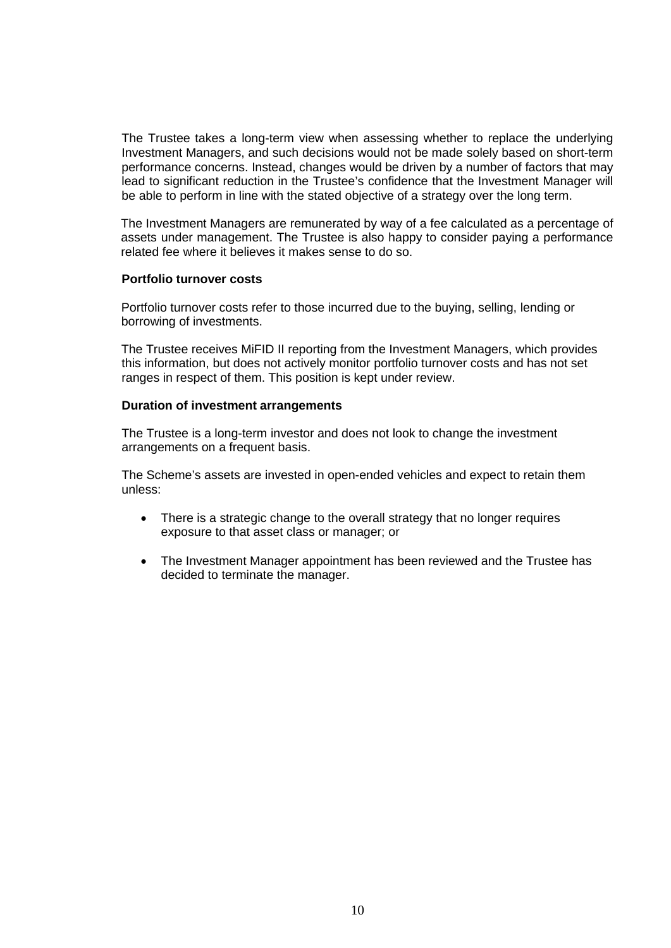The Trustee takes a long-term view when assessing whether to replace the underlying Investment Managers, and such decisions would not be made solely based on short-term performance concerns. Instead, changes would be driven by a number of factors that may lead to significant reduction in the Trustee's confidence that the Investment Manager will be able to perform in line with the stated objective of a strategy over the long term.

The Investment Managers are remunerated by way of a fee calculated as a percentage of assets under management. The Trustee is also happy to consider paying a performance related fee where it believes it makes sense to do so.

#### **Portfolio turnover costs**

Portfolio turnover costs refer to those incurred due to the buying, selling, lending or borrowing of investments.

The Trustee receives MiFID II reporting from the Investment Managers, which provides this information, but does not actively monitor portfolio turnover costs and has not set ranges in respect of them. This position is kept under review.

#### **Duration of investment arrangements**

The Trustee is a long-term investor and does not look to change the investment arrangements on a frequent basis.

The Scheme's assets are invested in open-ended vehicles and expect to retain them unless:

- There is a strategic change to the overall strategy that no longer requires exposure to that asset class or manager; or
- The Investment Manager appointment has been reviewed and the Trustee has decided to terminate the manager.